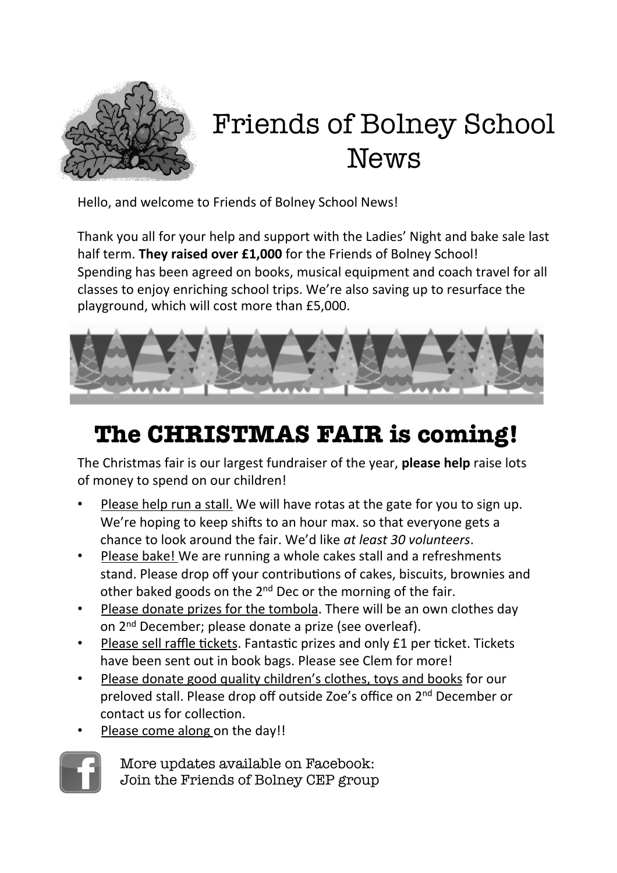

# Friends of Bolney School News

Hello, and welcome to Friends of Bolney School News!

Thank you all for your help and support with the Ladies' Night and bake sale last half term. They raised over £1,000 for the Friends of Bolney School! Spending has been agreed on books, musical equipment and coach travel for all classes to enjoy enriching school trips. We're also saving up to resurface the playground, which will cost more than £5,000.



## **The CHRISTMAS FAIR is coming!**

The Christmas fair is our largest fundraiser of the year, **please help** raise lots of money to spend on our children!

- Please help run a stall. We will have rotas at the gate for you to sign up. We're hoping to keep shifts to an hour max. so that everyone gets a chance to look around the fair. We'd like *at least 30 volunteers*.
- Please bake! We are running a whole cakes stall and a refreshments stand. Please drop off your contributions of cakes, biscuits, brownies and other baked goods on the  $2^{nd}$  Dec or the morning of the fair.
- Please donate prizes for the tombola. There will be an own clothes day on 2<sup>nd</sup> December; please donate a prize (see overleaf).
- Please sell raffle tickets. Fantastic prizes and only £1 per ticket. Tickets have been sent out in book bags. Please see Clem for more!
- Please donate good quality children's clothes, toys and books for our preloved stall. Please drop off outside Zoe's office on 2<sup>nd</sup> December or contact us for collection.
- Please come along on the day!!



More updates available on Facebook: Join the Friends of Bolney CEP group